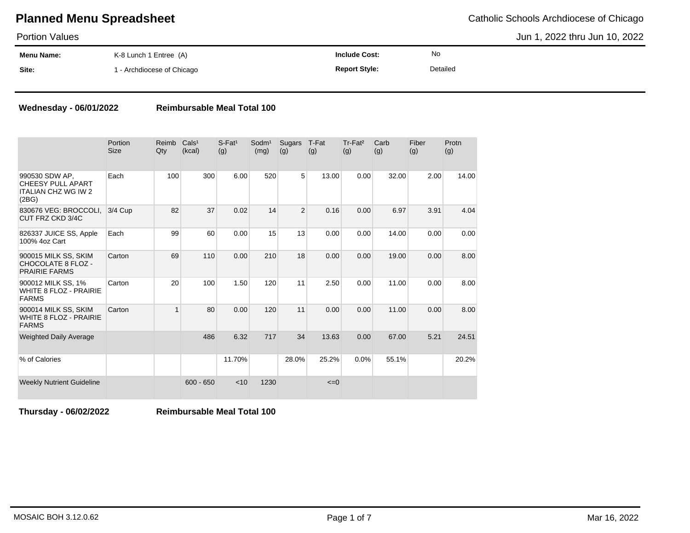Portion Values

Jun 1, 2022 thru Jun 10, 2022

| .          |                          |                      |           |  |
|------------|--------------------------|----------------------|-----------|--|
| Menu Name: | K-8 Lunch 1 Entree (A)   | <b>Include Cost:</b> | <b>No</b> |  |
| Site:      | - Archdiocese of Chicago | <b>Report Style:</b> | Detailed  |  |

### **Wednesday - 06/01/2022 Reimbursable Meal Total 100**

|                                                                                   | Portion<br><b>Size</b> | Reimb<br>Qty   | Cals <sup>1</sup><br>(kcal) | $S$ -Fat <sup>1</sup><br>(g) | Sodm <sup>1</sup><br>(mg) | Sugars<br>(g)  | T-Fat<br>(g) | Tr-Fat <sup>2</sup><br>(g) | Carb<br>(g) | Fiber<br>(g) | Protn<br>(g) |
|-----------------------------------------------------------------------------------|------------------------|----------------|-----------------------------|------------------------------|---------------------------|----------------|--------------|----------------------------|-------------|--------------|--------------|
| 990530 SDW AP.<br><b>CHEESY PULL APART</b><br><b>ITALIAN CHZ WG IW 2</b><br>(2BG) | Each                   | 100            | 300                         | 6.00                         | 520                       | 5 <sup>1</sup> | 13.00        | 0.00                       | 32.00       | 2.00         | 14.00        |
| 830676 VEG: BROCCOLI.<br>CUT FRZ CKD 3/4C                                         | 3/4 Cup                | 82             | 37                          | 0.02                         | 14                        | $\overline{2}$ | 0.16         | 0.00                       | 6.97        | 3.91         | 4.04         |
| 826337 JUICE SS, Apple<br>100% 4oz Cart                                           | Each                   | 99             | 60                          | 0.00                         | 15                        | 13             | 0.00         | 0.00                       | 14.00       | 0.00         | 0.00         |
| 900015 MILK SS, SKIM<br>CHOCOLATE 8 FLOZ -<br><b>PRAIRIE FARMS</b>                | Carton                 | 69             | 110                         | 0.00                         | 210                       | 18             | 0.00         | 0.00                       | 19.00       | 0.00         | 8.00         |
| 900012 MILK SS, 1%<br><b>WHITE 8 FLOZ - PRAIRIE</b><br><b>FARMS</b>               | Carton                 | 20             | 100                         | 1.50                         | 120                       | 11             | 2.50         | 0.00                       | 11.00       | 0.00         | 8.00         |
| 900014 MILK SS, SKIM<br><b>WHITE 8 FLOZ - PRAIRIE</b><br><b>FARMS</b>             | Carton                 | $\overline{1}$ | 80                          | 0.00                         | 120                       | 11             | 0.00         | 0.00                       | 11.00       | 0.00         | 8.00         |
| <b>Weighted Daily Average</b>                                                     |                        |                | 486                         | 6.32                         | 717                       | 34             | 13.63        | 0.00                       | 67.00       | 5.21         | 24.51        |
| % of Calories                                                                     |                        |                |                             | 11.70%                       |                           | 28.0%          | 25.2%        | 0.0%                       | 55.1%       |              | 20.2%        |
| <b>Weekly Nutrient Guideline</b>                                                  |                        |                | $600 - 650$                 | < 10                         | 1230                      |                | $\leq=0$     |                            |             |              |              |

**Thursday - 06/02/2022 Reimbursable Meal Total 100**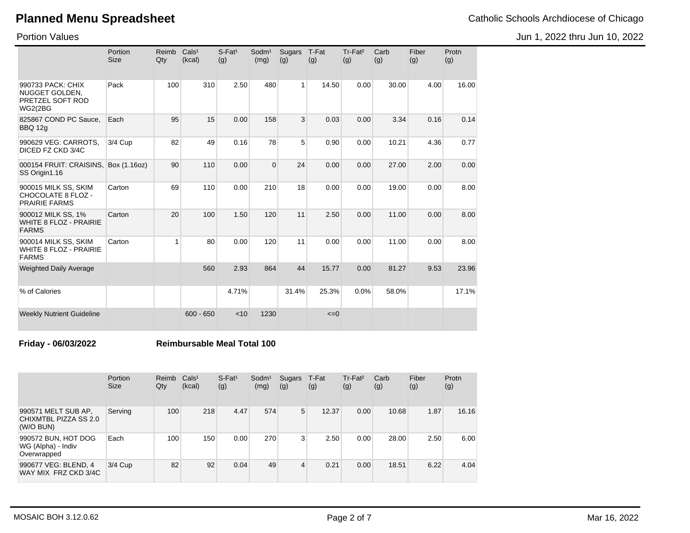Portion Values

|                                                                           | Portion<br><b>Size</b> | Reimb<br>Qty | Cals <sup>1</sup><br>(kcal) | $S$ -Fat <sup>1</sup><br>(g) | Sodm <sup>1</sup><br>(mg) | <b>Sugars</b><br>(g) | T-Fat<br>(g) | Tr-Fat <sup>2</sup><br>(g) | Carb<br>(g) | Fiber<br>(g) | Protn<br>(g) |
|---------------------------------------------------------------------------|------------------------|--------------|-----------------------------|------------------------------|---------------------------|----------------------|--------------|----------------------------|-------------|--------------|--------------|
| 990733 PACK: CHIX<br>NUGGET GOLDEN,<br>PRETZEL SOFT ROD<br><b>WG2(2BG</b> | Pack                   | 100          | 310                         | 2.50                         | 480                       | $\mathbf{1}$         | 14.50        | 0.00                       | 30.00       | 4.00         | 16.00        |
| 825867 COND PC Sauce,<br><b>BBQ 12g</b>                                   | Each                   | 95           | 15                          | 0.00                         | 158                       | 3                    | 0.03         | 0.00                       | 3.34        | 0.16         | 0.14         |
| 990629 VEG: CARROTS,<br>DICED FZ CKD 3/4C                                 | 3/4 Cup                | 82           | 49                          | 0.16                         | 78                        | 5                    | 0.90         | 0.00                       | 10.21       | 4.36         | 0.77         |
| 000154 FRUIT: CRAISINS,<br>SS Origin1.16                                  | Box (1.16oz)           | 90           | 110                         | 0.00                         | $\mathbf{0}$              | 24                   | 0.00         | 0.00                       | 27.00       | 2.00         | 0.00         |
| 900015 MILK SS, SKIM<br>CHOCOLATE 8 FLOZ -<br><b>PRAIRIE FARMS</b>        | Carton                 | 69           | 110                         | 0.00                         | 210                       | 18                   | 0.00         | 0.00                       | 19.00       | 0.00         | 8.00         |
| 900012 MILK SS, 1%<br><b>WHITE 8 FLOZ - PRAIRIE</b><br><b>FARMS</b>       | Carton                 | 20           | 100                         | 1.50                         | 120                       | 11                   | 2.50         | 0.00                       | 11.00       | 0.00         | 8.00         |
| 900014 MILK SS, SKIM<br><b>WHITE 8 FLOZ - PRAIRIE</b><br><b>FARMS</b>     | Carton                 | 1            | 80                          | 0.00                         | 120                       | 11                   | 0.00         | 0.00                       | 11.00       | 0.00         | 8.00         |
| <b>Weighted Daily Average</b>                                             |                        |              | 560                         | 2.93                         | 864                       | 44                   | 15.77        | 0.00                       | 81.27       | 9.53         | 23.96        |
| % of Calories                                                             |                        |              |                             | 4.71%                        |                           | 31.4%                | 25.3%        | 0.0%                       | 58.0%       |              | 17.1%        |
| <b>Weekly Nutrient Guideline</b>                                          |                        |              | $600 - 650$                 | < 10                         | 1230                      |                      | $\leq=0$     |                            |             |              |              |

### **Friday - 06/03/2022 Reimbursable Meal Total 100**

|                                                           | Portion<br><b>Size</b> | Reimb<br>Qty | Cals <sup>1</sup><br>(kcal) | $S$ -Fat <sup>1</sup><br>(g) | Sodm <sup>1</sup><br>(mg) | Sugars<br>(g) | T-Fat<br>(g) | Tr-Fat <sup>2</sup><br>(g) | Carb<br>(g) | Fiber<br>(g) | Protn<br>(g) |
|-----------------------------------------------------------|------------------------|--------------|-----------------------------|------------------------------|---------------------------|---------------|--------------|----------------------------|-------------|--------------|--------------|
| 990571 MELT SUB AP,<br>CHIXMTBL PIZZA SS 2.0<br>(W/O BUN) | Serving                | 100          | 218                         | 4.47                         | 574                       | 5             | 12.37        | 0.00                       | 10.68       | 1.87         | 16.16        |
| 990572 BUN, HOT DOG<br>WG (Alpha) - Indiv<br>Overwrapped  | Each                   | 100          | 150                         | 0.00                         | 270                       | 3             | 2.50         | 0.00                       | 28.00       | 2.50         | 6.00         |
| 990677 VEG: BLEND, 4<br>WAY MIX FRZ CKD 3/4C              | 3/4 Cup                | 82           | 92                          | 0.04                         | 49                        | 4             | 0.21         | 0.00                       | 18.51       | 6.22         | 4.04         |

Jun 1, 2022 thru Jun 10, 2022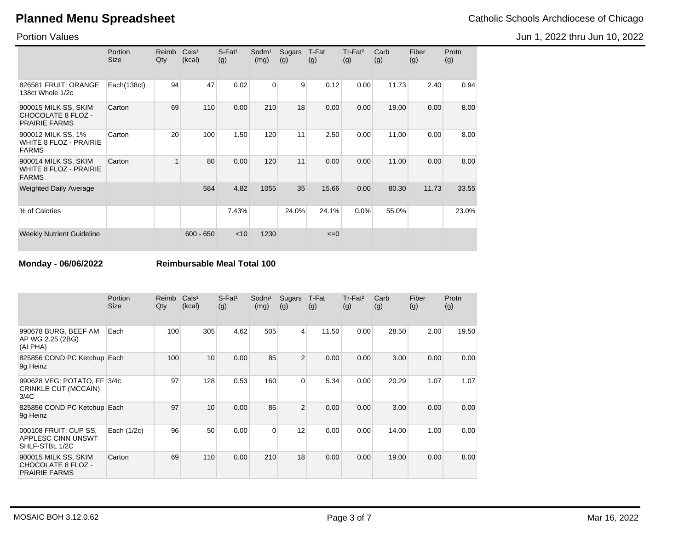Portion Values

|                                                                       | Portion<br>Size | Reimb<br>Qty | Cals <sup>1</sup><br>(kcal) | $S$ -Fat <sup>1</sup><br>(g) | Sodm <sup>1</sup><br>(mg) | Sugars<br>(g) | T-Fat<br>(g) | Tr-Fat <sup>2</sup><br>(g) | Carb<br>(g) | Fiber<br>(g) | Protn<br>(g) |
|-----------------------------------------------------------------------|-----------------|--------------|-----------------------------|------------------------------|---------------------------|---------------|--------------|----------------------------|-------------|--------------|--------------|
| 826581 FRUIT: ORANGE<br>138ct Whole 1/2c                              | Each(138ct)     | 94           | 47                          | 0.02                         | $\mathbf 0$               | 9             | 0.12         | 0.00                       | 11.73       | 2.40         | 0.94         |
| 900015 MILK SS, SKIM<br>CHOCOLATE 8 FLOZ -<br><b>PRAIRIE FARMS</b>    | Carton          | 69           | 110                         | 0.00                         | 210                       | 18            | 0.00         | 0.00                       | 19.00       | 0.00         | 8.00         |
| 900012 MILK SS, 1%<br>WHITE 8 FLOZ - PRAIRIE<br><b>FARMS</b>          | Carton          | 20           | 100                         | 1.50                         | 120                       | 11            | 2.50         | 0.00                       | 11.00       | 0.00         | 8.00         |
| 900014 MILK SS, SKIM<br><b>WHITE 8 FLOZ - PRAIRIE</b><br><b>FARMS</b> | Carton          | 1            | 80                          | 0.00                         | 120                       | 11            | 0.00         | 0.00                       | 11.00       | 0.00         | 8.00         |
| <b>Weighted Daily Average</b>                                         |                 |              | 584                         | 4.82                         | 1055                      | 35            | 15.66        | 0.00                       | 80.30       | 11.73        | 33.55        |
| % of Calories                                                         |                 |              |                             | 7.43%                        |                           | 24.0%         | 24.1%        | 0.0%                       | 55.0%       |              | 23.0%        |
| <b>Weekly Nutrient Guideline</b>                                      |                 |              | $600 - 650$                 | $<$ 10                       | 1230                      |               | $\leq=0$     |                            |             |              |              |

**Monday - 06/06/2022 Reimbursable Meal Total 100**

|                                                                    | <b>Portion</b><br><b>Size</b> | <b>Reimb</b><br>Qty | Cals <sup>1</sup><br>(kcal) | $S$ -Fat <sup>1</sup><br>(g) | Sodm <sup>1</sup><br>(mg) | Sugars<br>(g)  | T-Fat<br>(g) | Tr-Fat <sup>2</sup><br>(g) | Carb<br>(g) | Fiber<br>(g) | Protn<br>(g) |
|--------------------------------------------------------------------|-------------------------------|---------------------|-----------------------------|------------------------------|---------------------------|----------------|--------------|----------------------------|-------------|--------------|--------------|
| 990678 BURG, BEEF AM<br>AP WG 2.25 (2BG)<br>(ALPHA)                | Each                          | 100                 | 305                         | 4.62                         | 505                       | $\overline{4}$ | 11.50        | 0.00                       | 28.50       | 2.00         | 19.50        |
| 825856 COND PC Ketchup Each<br>9q Heinz                            |                               | 100                 | 10                          | 0.00                         | 85                        | $\overline{2}$ | 0.00         | 0.00                       | 3.00        | 0.00         | 0.00         |
| 990628 VEG: POTATO, FF 3/4c<br>CRINKLE CUT (MCCAIN)<br>3/4C        |                               | 97                  | 128                         | 0.53                         | 160                       | $\overline{0}$ | 5.34         | 0.00                       | 20.29       | 1.07         | 1.07         |
| 825856 COND PC Ketchup Each<br>9q Heinz                            |                               | 97                  | 10                          | 0.00                         | 85                        | $\overline{2}$ | 0.00         | 0.00                       | 3.00        | 0.00         | 0.00         |
| 000108 FRUIT: CUP SS,<br>APPLESC CINN UNSWT<br>SHLF-STBL 1/2C      | Each (1/2c)                   | 96                  | 50                          | 0.00                         | 0                         | 12             | 0.00         | 0.00                       | 14.00       | 1.00         | 0.00         |
| 900015 MILK SS, SKIM<br>CHOCOLATE 8 FLOZ -<br><b>PRAIRIE FARMS</b> | Carton                        | 69                  | 110                         | 0.00                         | 210                       | 18             | 0.00         | 0.00                       | 19.00       | 0.00         | 8.00         |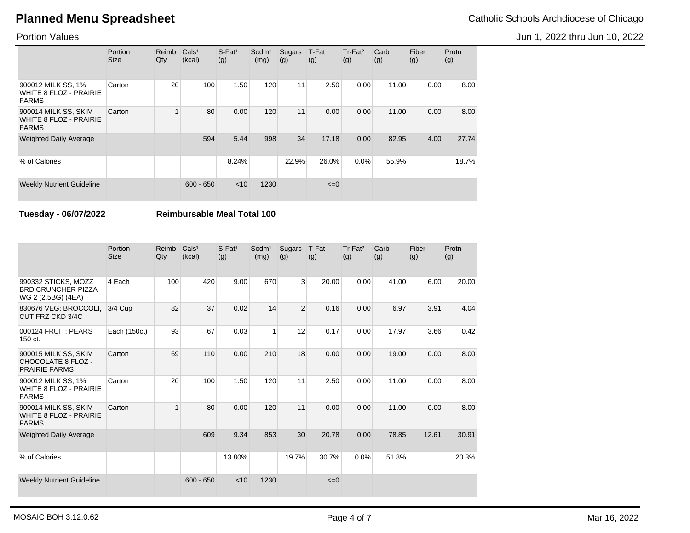Portion Values

|                                                                       | Portion<br><b>Size</b> | Reimb<br>Qty | Cals <sup>1</sup><br>(kcal) | $S$ -Fat <sup>1</sup><br>(g) | Sodm <sup>1</sup><br>(mg) | Sugars<br>(g) | T-Fat<br>(g) | $Tr-Fat2$<br>(g) | Carb<br>(g) | Fiber<br>(g) | Protn<br>(g) |
|-----------------------------------------------------------------------|------------------------|--------------|-----------------------------|------------------------------|---------------------------|---------------|--------------|------------------|-------------|--------------|--------------|
| 900012 MILK SS, 1%<br>WHITE 8 FLOZ - PRAIRIE<br><b>FARMS</b>          | Carton                 | 20           | 100                         | 1.50                         | 120                       | 11            | 2.50         | 0.00             | 11.00       | 0.00         | 8.00         |
| 900014 MILK SS, SKIM<br><b>WHITE 8 FLOZ - PRAIRIE</b><br><b>FARMS</b> | Carton                 |              | 80                          | 0.00                         | 120                       | 11            | 0.00         | 0.00             | 11.00       | 0.00         | 8.00         |
| <b>Weighted Daily Average</b>                                         |                        |              | 594                         | 5.44                         | 998                       | 34            | 17.18        | 0.00             | 82.95       | 4.00         | 27.74        |
| % of Calories                                                         |                        |              |                             | 8.24%                        |                           | 22.9%         | 26.0%        | $0.0\%$          | 55.9%       |              | 18.7%        |
| <b>Weekly Nutrient Guideline</b>                                      |                        |              | $600 - 650$                 | $<$ 10                       | 1230                      |               | $\leq=0$     |                  |             |              |              |

**Tuesday - 06/07/2022 Reimbursable Meal Total 100**

|                                                                        | Portion<br><b>Size</b> | Reimb<br>Qty | Cals <sup>1</sup><br>(kcal) | $S$ -Fat <sup>1</sup><br>(g) | Sodm <sup>1</sup><br>(mg) | Sugars<br>(g)  | T-Fat<br>(g) | Tr-Fat <sup>2</sup><br>(g) | Carb<br>(g) | Fiber<br>(g) | Protn<br>(g) |
|------------------------------------------------------------------------|------------------------|--------------|-----------------------------|------------------------------|---------------------------|----------------|--------------|----------------------------|-------------|--------------|--------------|
| 990332 STICKS, MOZZ<br><b>BRD CRUNCHER PIZZA</b><br>WG 2 (2.5BG) (4EA) | 4 Each                 | 100          | 420                         | 9.00                         | 670                       | $\overline{3}$ | 20.00        | 0.00                       | 41.00       | 6.00         | 20.00        |
| 830676 VEG: BROCCOLI.<br>CUT FRZ CKD 3/4C                              | 3/4 Cup                | 82           | 37                          | 0.02                         | 14                        | $\overline{2}$ | 0.16         | 0.00                       | 6.97        | 3.91         | 4.04         |
| 000124 FRUIT: PEARS<br>150 ct.                                         | Each (150ct)           | 93           | 67                          | 0.03                         | 1                         | 12             | 0.17         | 0.00                       | 17.97       | 3.66         | 0.42         |
| 900015 MILK SS, SKIM<br>CHOCOLATE 8 FLOZ -<br><b>PRAIRIE FARMS</b>     | Carton                 | 69           | 110                         | 0.00                         | 210                       | 18             | 0.00         | 0.00                       | 19.00       | 0.00         | 8.00         |
| 900012 MILK SS, 1%<br><b>WHITE 8 FLOZ - PRAIRIE</b><br><b>FARMS</b>    | Carton                 | 20           | 100                         | 1.50                         | 120                       | 11             | 2.50         | 0.00                       | 11.00       | 0.00         | 8.00         |
| 900014 MILK SS, SKIM<br><b>WHITE 8 FLOZ - PRAIRIE</b><br><b>FARMS</b>  | Carton                 |              | 80                          | 0.00                         | 120                       | 11             | 0.00         | 0.00                       | 11.00       | 0.00         | 8.00         |
| <b>Weighted Daily Average</b>                                          |                        |              | 609                         | 9.34                         | 853                       | 30             | 20.78        | 0.00                       | 78.85       | 12.61        | 30.91        |
| % of Calories                                                          |                        |              |                             | 13.80%                       |                           | 19.7%          | 30.7%        | 0.0%                       | 51.8%       |              | 20.3%        |
| <b>Weekly Nutrient Guideline</b>                                       |                        |              | $600 - 650$                 | < 10                         | 1230                      |                | $\leq=0$     |                            |             |              |              |

Jun 1, 2022 thru Jun 10, 2022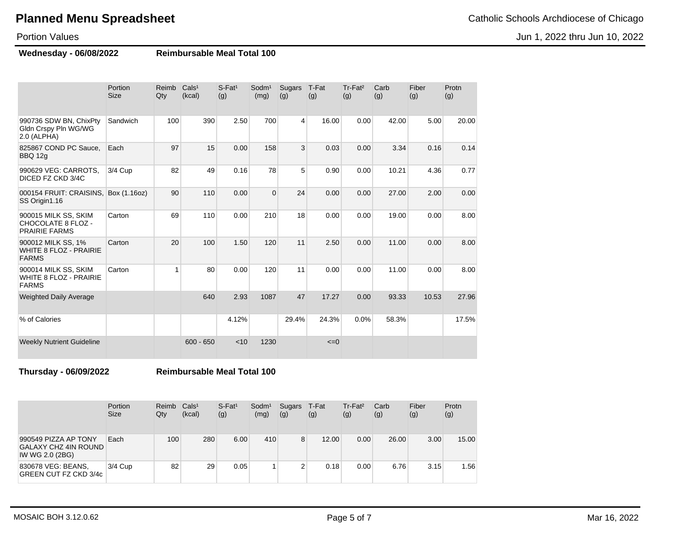Jun 1, 2022 thru Jun 10, 2022

### Portion Values

**Wednesday - 06/08/2022 Reimbursable Meal Total 100**

|                                                                       | Portion<br><b>Size</b> | Reimb<br>Qty | Cals <sup>1</sup><br>(kcal) | $S$ -Fat <sup>1</sup><br>(g) | Sodm <sup>1</sup><br>(mg) | Sugars<br>(g) | T-Fat<br>(g) | Tr-Fat <sup>2</sup><br>(g) | Carb<br>(g) | Fiber<br>(g) | Protn<br>(g) |
|-----------------------------------------------------------------------|------------------------|--------------|-----------------------------|------------------------------|---------------------------|---------------|--------------|----------------------------|-------------|--------------|--------------|
| 990736 SDW BN, ChixPty<br>Gldn Crspy Pln WG/WG<br>2.0 (ALPHA)         | Sandwich               | 100          | 390                         | 2.50                         | 700                       | 4             | 16.00        | 0.00                       | 42.00       | 5.00         | 20.00        |
| 825867 COND PC Sauce,<br><b>BBQ 12g</b>                               | Each                   | 97           | 15                          | 0.00                         | 158                       | 3             | 0.03         | 0.00                       | 3.34        | 0.16         | 0.14         |
| 990629 VEG: CARROTS,<br>DICED FZ CKD 3/4C                             | 3/4 Cup                | 82           | 49                          | 0.16                         | 78                        | 5             | 0.90         | 0.00                       | 10.21       | 4.36         | 0.77         |
| 000154 FRUIT: CRAISINS,<br>SS Origin1.16                              | Box (1.16oz)           | 90           | 110                         | 0.00                         | $\overline{0}$            | 24            | 0.00         | 0.00                       | 27.00       | 2.00         | 0.00         |
| 900015 MILK SS, SKIM<br>CHOCOLATE 8 FLOZ -<br><b>PRAIRIE FARMS</b>    | Carton                 | 69           | 110                         | 0.00                         | 210                       | 18            | 0.00         | 0.00                       | 19.00       | 0.00         | 8.00         |
| 900012 MILK SS, 1%<br><b>WHITE 8 FLOZ - PRAIRIE</b><br><b>FARMS</b>   | Carton                 | 20           | 100                         | 1.50                         | 120                       | 11            | 2.50         | 0.00                       | 11.00       | 0.00         | 8.00         |
| 900014 MILK SS, SKIM<br><b>WHITE 8 FLOZ - PRAIRIE</b><br><b>FARMS</b> | Carton                 | 1            | 80                          | 0.00                         | 120                       | 11            | 0.00         | 0.00                       | 11.00       | 0.00         | 8.00         |
| <b>Weighted Daily Average</b>                                         |                        |              | 640                         | 2.93                         | 1087                      | 47            | 17.27        | 0.00                       | 93.33       | 10.53        | 27.96        |
| % of Calories                                                         |                        |              |                             | 4.12%                        |                           | 29.4%         | 24.3%        | 0.0%                       | 58.3%       |              | 17.5%        |
| <b>Weekly Nutrient Guideline</b>                                      |                        |              | $600 - 650$                 | < 10                         | 1230                      |               | $\leq=0$     |                            |             |              |              |

**Thursday - 06/09/2022 Reimbursable Meal Total 100**

|                                                                        | Portion<br><b>Size</b> | Reimb<br>Qty | Cals <sup>1</sup><br>(kcal) | $S$ -Fat <sup>1</sup><br>(g) | Sodm <sup>1</sup><br>(mg) | Sugars T-Fat<br>(g) | (g)   | Tr-Fat <sup>2</sup><br>(g) | Carb<br>(g) | Fiber<br>(g) | Protn<br>(g) |
|------------------------------------------------------------------------|------------------------|--------------|-----------------------------|------------------------------|---------------------------|---------------------|-------|----------------------------|-------------|--------------|--------------|
| 990549 PIZZA AP TONY<br><b>GALAXY CHZ 4IN ROUND</b><br>IW WG 2.0 (2BG) | Each                   | 100          | 280                         | 6.00                         | 410                       | 8                   | 12.00 | 0.00                       | 26.00       | 3.00         | 15.00        |
| 830678 VEG: BEANS,<br>GREEN CUT FZ CKD 3/4c                            | 3/4 Cup                | 82           | 29                          | 0.05                         |                           | $\sim$<br>∠         | 0.18  | 0.00                       | 6.76        | 3.15         | 1.56         |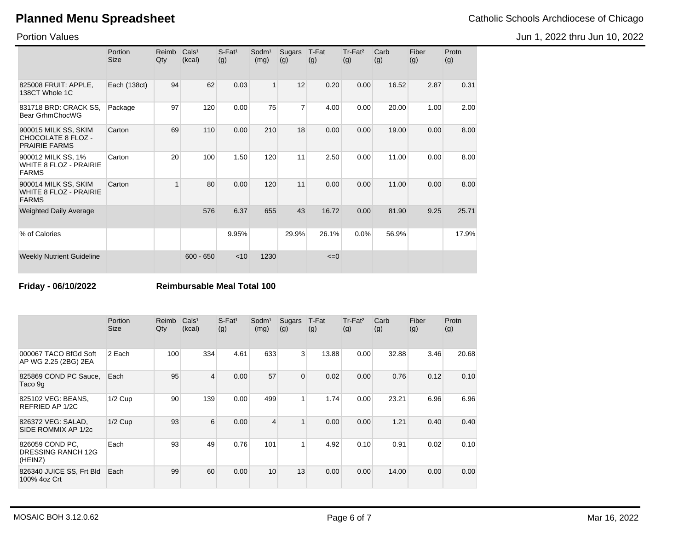Portion Values

|                                                                       | Portion<br><b>Size</b> | Reimb<br>Qty | Cals <sup>1</sup><br>(kcal) | $S$ -Fat <sup>1</sup><br>(g) | Sodm <sup>1</sup><br>(mg) | Sugars<br>(g)  | T-Fat<br>(g) | Tr-Fat <sup>2</sup><br>(g) | Carb<br>(g) | Fiber<br>(g) | Protn<br>(g) |
|-----------------------------------------------------------------------|------------------------|--------------|-----------------------------|------------------------------|---------------------------|----------------|--------------|----------------------------|-------------|--------------|--------------|
| 825008 FRUIT: APPLE,<br>138CT Whole 1C                                | Each (138ct)           | 94           | 62                          | 0.03                         | 1                         | 12             | 0.20         | 0.00                       | 16.52       | 2.87         | 0.31         |
| 831718 BRD: CRACK SS,<br>Bear GrhmChocWG                              | Package                | 97           | 120                         | 0.00                         | 75                        | $\overline{7}$ | 4.00         | 0.00                       | 20.00       | 1.00         | 2.00         |
| 900015 MILK SS, SKIM<br>CHOCOLATE 8 FLOZ -<br><b>PRAIRIE FARMS</b>    | Carton                 | 69           | 110                         | 0.00                         | 210                       | 18             | 0.00         | 0.00                       | 19.00       | 0.00         | 8.00         |
| 900012 MILK SS, 1%<br>WHITE 8 FLOZ - PRAIRIE<br><b>FARMS</b>          | Carton                 | 20           | 100                         | 1.50                         | 120                       | 11             | 2.50         | 0.00                       | 11.00       | 0.00         | 8.00         |
| 900014 MILK SS, SKIM<br><b>WHITE 8 FLOZ - PRAIRIE</b><br><b>FARMS</b> | Carton                 | 1            | 80                          | 0.00                         | 120                       | 11             | 0.00         | 0.00                       | 11.00       | 0.00         | 8.00         |
| <b>Weighted Daily Average</b>                                         |                        |              | 576                         | 6.37                         | 655                       | 43             | 16.72        | 0.00                       | 81.90       | 9.25         | 25.71        |
| % of Calories                                                         |                        |              |                             | 9.95%                        |                           | 29.9%          | 26.1%        | 0.0%                       | 56.9%       |              | 17.9%        |
| <b>Weekly Nutrient Guideline</b>                                      |                        |              | $600 - 650$                 | < 10                         | 1230                      |                | $\leq=0$     |                            |             |              |              |

**Friday - 06/10/2022 Reimbursable Meal Total 100**

|                                                  | Portion<br><b>Size</b> | Reimb<br>Qty | Cals <sup>1</sup><br>(kcal) | $S$ -Fat <sup>1</sup><br>(g) | Sodm <sup>1</sup><br>(mg) | Sugars<br>(g)   | T-Fat<br>(g) | Tr-Fat <sup>2</sup><br>(g) | Carb<br>(g) | Fiber<br>(g) | Protn<br>(g) |
|--------------------------------------------------|------------------------|--------------|-----------------------------|------------------------------|---------------------------|-----------------|--------------|----------------------------|-------------|--------------|--------------|
| 000067 TACO BfGd Soft<br>AP WG 2.25 (2BG) 2EA    | 2 Each                 | 100          | 334                         | 4.61                         | 633                       | 3               | 13.88        | 0.00                       | 32.88       | 3.46         | 20.68        |
| 825869 COND PC Sauce,<br>Taco 9q                 | Each                   | 95           | $\overline{4}$              | 0.00                         | 57                        | $\overline{0}$  | 0.02         | 0.00                       | 0.76        | 0.12         | 0.10         |
| 825102 VEG: BEANS,<br>REFRIED AP 1/2C            | $1/2$ Cup              | 90           | 139                         | 0.00                         | 499                       | 1               | 1.74         | 0.00                       | 23.21       | 6.96         | 6.96         |
| 826372 VEG: SALAD,<br>SIDE ROMMIX AP 1/2c        | $1/2$ Cup              | 93           | 6                           | 0.00                         | 4                         | 1               | 0.00         | 0.00                       | 1.21        | 0.40         | 0.40         |
| 826059 COND PC,<br>DRESSING RANCH 12G<br>(HEINZ) | Each                   | 93           | 49                          | 0.76                         | 101                       | 1               | 4.92         | 0.10                       | 0.91        | 0.02         | 0.10         |
| 826340 JUICE SS, Frt Bld<br>100% 4oz Crt         | Each                   | 99           | 60                          | 0.00                         | 10                        | 13 <sub>1</sub> | 0.00         | 0.00                       | 14.00       | 0.00         | 0.00         |